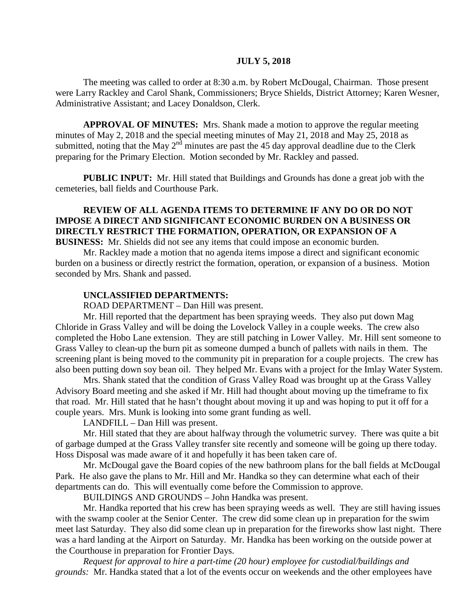### **JULY 5, 2018**

The meeting was called to order at 8:30 a.m. by Robert McDougal, Chairman. Those present were Larry Rackley and Carol Shank, Commissioners; Bryce Shields, District Attorney; Karen Wesner, Administrative Assistant; and Lacey Donaldson, Clerk.

**APPROVAL OF MINUTES:** Mrs. Shank made a motion to approve the regular meeting minutes of May 2, 2018 and the special meeting minutes of May 21, 2018 and May 25, 2018 as submitted, noting that the May 2<sup>nd</sup> minutes are past the 45 day approval deadline due to the Clerk preparing for the Primary Election. Motion seconded by Mr. Rackley and passed.

 **PUBLIC INPUT:** Mr. Hill stated that Buildings and Grounds has done a great job with the cemeteries, ball fields and Courthouse Park.

# **REVIEW OF ALL AGENDA ITEMS TO DETERMINE IF ANY DO OR DO NOT IMPOSE A DIRECT AND SIGNIFICANT ECONOMIC BURDEN ON A BUSINESS OR DIRECTLY RESTRICT THE FORMATION, OPERATION, OR EXPANSION OF A**

**BUSINESS:** Mr. Shields did not see any items that could impose an economic burden.

Mr. Rackley made a motion that no agenda items impose a direct and significant economic burden on a business or directly restrict the formation, operation, or expansion of a business. Motion seconded by Mrs. Shank and passed.

#### **UNCLASSIFIED DEPARTMENTS:**

ROAD DEPARTMENT – Dan Hill was present.

Mr. Hill reported that the department has been spraying weeds. They also put down Mag Chloride in Grass Valley and will be doing the Lovelock Valley in a couple weeks. The crew also completed the Hobo Lane extension. They are still patching in Lower Valley. Mr. Hill sent someone to Grass Valley to clean-up the burn pit as someone dumped a bunch of pallets with nails in them. The screening plant is being moved to the community pit in preparation for a couple projects. The crew has also been putting down soy bean oil. They helped Mr. Evans with a project for the Imlay Water System.

Mrs. Shank stated that the condition of Grass Valley Road was brought up at the Grass Valley Advisory Board meeting and she asked if Mr. Hill had thought about moving up the timeframe to fix that road. Mr. Hill stated that he hasn't thought about moving it up and was hoping to put it off for a couple years. Mrs. Munk is looking into some grant funding as well.

LANDFILL – Dan Hill was present.

Mr. Hill stated that they are about halfway through the volumetric survey. There was quite a bit of garbage dumped at the Grass Valley transfer site recently and someone will be going up there today. Hoss Disposal was made aware of it and hopefully it has been taken care of.

Mr. McDougal gave the Board copies of the new bathroom plans for the ball fields at McDougal Park. He also gave the plans to Mr. Hill and Mr. Handka so they can determine what each of their departments can do. This will eventually come before the Commission to approve.

BUILDINGS AND GROUNDS – John Handka was present.

Mr. Handka reported that his crew has been spraying weeds as well. They are still having issues with the swamp cooler at the Senior Center. The crew did some clean up in preparation for the swim meet last Saturday. They also did some clean up in preparation for the fireworks show last night. There was a hard landing at the Airport on Saturday. Mr. Handka has been working on the outside power at the Courthouse in preparation for Frontier Days.

*Request for approval to hire a part-time (20 hour) employee for custodial/buildings and grounds:* Mr. Handka stated that a lot of the events occur on weekends and the other employees have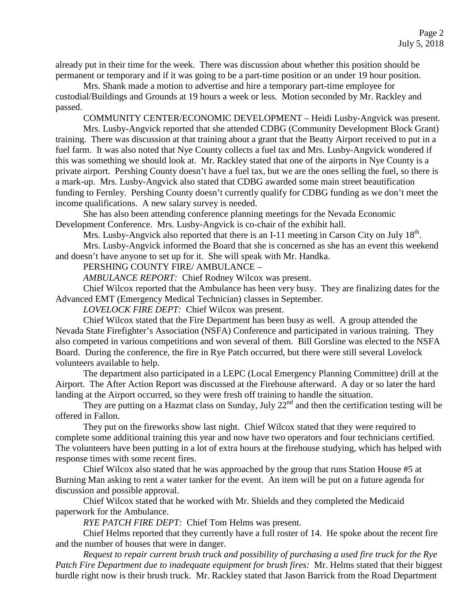already put in their time for the week. There was discussion about whether this position should be permanent or temporary and if it was going to be a part-time position or an under 19 hour position.

Mrs. Shank made a motion to advertise and hire a temporary part-time employee for custodial/Buildings and Grounds at 19 hours a week or less. Motion seconded by Mr. Rackley and passed.

COMMUNITY CENTER/ECONOMIC DEVELOPMENT – Heidi Lusby-Angvick was present.

Mrs. Lusby-Angvick reported that she attended CDBG (Community Development Block Grant) training. There was discussion at that training about a grant that the Beatty Airport received to put in a fuel farm. It was also noted that Nye County collects a fuel tax and Mrs. Lusby-Angvick wondered if this was something we should look at. Mr. Rackley stated that one of the airports in Nye County is a private airport. Pershing County doesn't have a fuel tax, but we are the ones selling the fuel, so there is a mark-up. Mrs. Lusby-Angvick also stated that CDBG awarded some main street beautification funding to Fernley. Pershing County doesn't currently qualify for CDBG funding as we don't meet the income qualifications. A new salary survey is needed.

She has also been attending conference planning meetings for the Nevada Economic Development Conference. Mrs. Lusby-Angvick is co-chair of the exhibit hall.

Mrs. Lusby-Angvick also reported that there is an I-11 meeting in Carson City on July 18<sup>th</sup>.

Mrs. Lusby-Angvick informed the Board that she is concerned as she has an event this weekend and doesn't have anyone to set up for it. She will speak with Mr. Handka.

PERSHING COUNTY FIRE/ AMBULANCE –

*AMBULANCE REPORT:* Chief Rodney Wilcox was present.

Chief Wilcox reported that the Ambulance has been very busy. They are finalizing dates for the Advanced EMT (Emergency Medical Technician) classes in September.

*LOVELOCK FIRE DEPT:* Chief Wilcox was present.

Chief Wilcox stated that the Fire Department has been busy as well. A group attended the Nevada State Firefighter's Association (NSFA) Conference and participated in various training. They also competed in various competitions and won several of them. Bill Gorsline was elected to the NSFA Board. During the conference, the fire in Rye Patch occurred, but there were still several Lovelock volunteers available to help.

The department also participated in a LEPC (Local Emergency Planning Committee) drill at the Airport. The After Action Report was discussed at the Firehouse afterward. A day or so later the hard landing at the Airport occurred, so they were fresh off training to handle the situation.

They are putting on a Hazmat class on Sunday, July  $22^{nd}$  and then the certification testing will be offered in Fallon.

They put on the fireworks show last night. Chief Wilcox stated that they were required to complete some additional training this year and now have two operators and four technicians certified. The volunteers have been putting in a lot of extra hours at the firehouse studying, which has helped with response times with some recent fires.

Chief Wilcox also stated that he was approached by the group that runs Station House #5 at Burning Man asking to rent a water tanker for the event. An item will be put on a future agenda for discussion and possible approval.

Chief Wilcox stated that he worked with Mr. Shields and they completed the Medicaid paperwork for the Ambulance.

*RYE PATCH FIRE DEPT:* Chief Tom Helms was present.

Chief Helms reported that they currently have a full roster of 14. He spoke about the recent fire and the number of houses that were in danger.

*Request to repair current brush truck and possibility of purchasing a used fire truck for the Rye Patch Fire Department due to inadequate equipment for brush fires:* Mr. Helms stated that their biggest hurdle right now is their brush truck. Mr. Rackley stated that Jason Barrick from the Road Department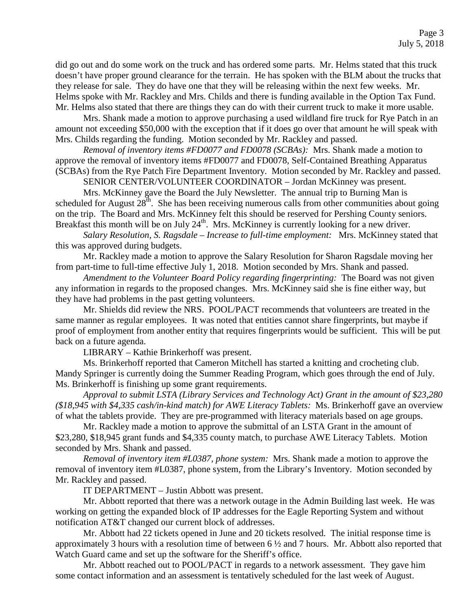did go out and do some work on the truck and has ordered some parts. Mr. Helms stated that this truck doesn't have proper ground clearance for the terrain. He has spoken with the BLM about the trucks that they release for sale. They do have one that they will be releasing within the next few weeks. Mr. Helms spoke with Mr. Rackley and Mrs. Childs and there is funding available in the Option Tax Fund. Mr. Helms also stated that there are things they can do with their current truck to make it more usable.

Mrs. Shank made a motion to approve purchasing a used wildland fire truck for Rye Patch in an amount not exceeding \$50,000 with the exception that if it does go over that amount he will speak with Mrs. Childs regarding the funding. Motion seconded by Mr. Rackley and passed.

*Removal of inventory items #FD0077 and FD0078 (SCBAs):* Mrs. Shank made a motion to approve the removal of inventory items #FD0077 and FD0078, Self-Contained Breathing Apparatus (SCBAs) from the Rye Patch Fire Department Inventory. Motion seconded by Mr. Rackley and passed.

SENIOR CENTER/VOLUNTEER COORDINATOR – Jordan McKinney was present.

Mrs. McKinney gave the Board the July Newsletter. The annual trip to Burning Man is scheduled for August  $28<sup>th</sup>$ . She has been receiving numerous calls from other communities about going on the trip. The Board and Mrs. McKinney felt this should be reserved for Pershing County seniors. Breakfast this month will be on July  $24<sup>th</sup>$ . Mrs. McKinney is currently looking for a new driver.

*Salary Resolution, S. Ragsdale – Increase to full-time employment:* Mrs. McKinney stated that this was approved during budgets.

Mr. Rackley made a motion to approve the Salary Resolution for Sharon Ragsdale moving her from part-time to full-time effective July 1, 2018. Motion seconded by Mrs. Shank and passed.

*Amendment to the Volunteer Board Policy regarding fingerprinting:* The Board was not given any information in regards to the proposed changes. Mrs. McKinney said she is fine either way, but they have had problems in the past getting volunteers.

Mr. Shields did review the NRS. POOL/PACT recommends that volunteers are treated in the same manner as regular employees. It was noted that entities cannot share fingerprints, but maybe if proof of employment from another entity that requires fingerprints would be sufficient. This will be put back on a future agenda.

LIBRARY – Kathie Brinkerhoff was present.

Ms. Brinkerhoff reported that Cameron Mitchell has started a knitting and crocheting club. Mandy Springer is currently doing the Summer Reading Program, which goes through the end of July. Ms. Brinkerhoff is finishing up some grant requirements.

*Approval to submit LSTA (Library Services and Technology Act) Grant in the amount of \$23,280 (\$18,945 with \$4,335 cash/in-kind match) for AWE Literacy Tablets:* Ms. Brinkerhoff gave an overview of what the tablets provide. They are pre-programmed with literacy materials based on age groups.

Mr. Rackley made a motion to approve the submittal of an LSTA Grant in the amount of \$23,280, \$18,945 grant funds and \$4,335 county match, to purchase AWE Literacy Tablets. Motion seconded by Mrs. Shank and passed.

*Removal of inventory item #L0387, phone system:* Mrs. Shank made a motion to approve the removal of inventory item #L0387, phone system, from the Library's Inventory. Motion seconded by Mr. Rackley and passed.

IT DEPARTMENT – Justin Abbott was present.

Mr. Abbott reported that there was a network outage in the Admin Building last week. He was working on getting the expanded block of IP addresses for the Eagle Reporting System and without notification AT&T changed our current block of addresses.

Mr. Abbott had 22 tickets opened in June and 20 tickets resolved. The initial response time is approximately 3 hours with a resolution time of between 6 ½ and 7 hours. Mr. Abbott also reported that Watch Guard came and set up the software for the Sheriff's office.

Mr. Abbott reached out to POOL/PACT in regards to a network assessment. They gave him some contact information and an assessment is tentatively scheduled for the last week of August.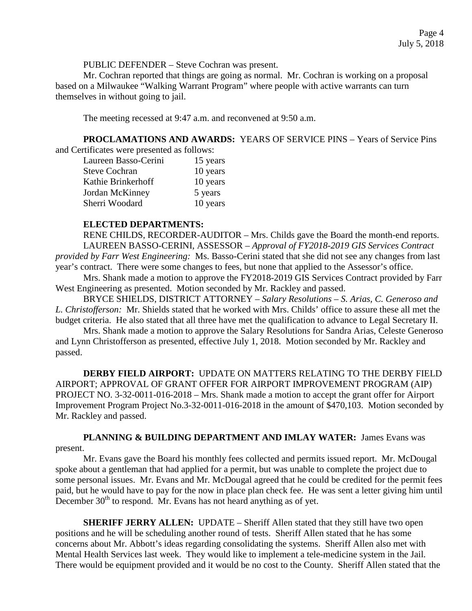PUBLIC DEFENDER – Steve Cochran was present.

Mr. Cochran reported that things are going as normal. Mr. Cochran is working on a proposal based on a Milwaukee "Walking Warrant Program" where people with active warrants can turn themselves in without going to jail.

The meeting recessed at 9:47 a.m. and reconvened at 9:50 a.m.

**PROCLAMATIONS AND AWARDS:** YEARS OF SERVICE PINS – Years of Service Pins and Certificates were presented as follows:

| Laureen Basso-Cerini | 15 years |
|----------------------|----------|
| <b>Steve Cochran</b> | 10 years |
| Kathie Brinkerhoff   | 10 years |
| Jordan McKinney      | 5 years  |
| Sherri Woodard       | 10 years |

### **ELECTED DEPARTMENTS:**

RENE CHILDS, RECORDER-AUDITOR – Mrs. Childs gave the Board the month-end reports. LAUREEN BASSO-CERINI, ASSESSOR – *Approval of FY2018-2019 GIS Services Contract provided by Farr West Engineering:* Ms. Basso-Cerini stated that she did not see any changes from last year's contract. There were some changes to fees, but none that applied to the Assessor's office.

Mrs. Shank made a motion to approve the FY2018-2019 GIS Services Contract provided by Farr West Engineering as presented. Motion seconded by Mr. Rackley and passed.

BRYCE SHIELDS, DISTRICT ATTORNEY – *Salary Resolutions – S. Arias, C. Generoso and L. Christofferson:* Mr. Shields stated that he worked with Mrs. Childs' office to assure these all met the budget criteria. He also stated that all three have met the qualification to advance to Legal Secretary II.

Mrs. Shank made a motion to approve the Salary Resolutions for Sandra Arias, Celeste Generoso and Lynn Christofferson as presented, effective July 1, 2018. Motion seconded by Mr. Rackley and passed.

**DERBY FIELD AIRPORT:** UPDATE ON MATTERS RELATING TO THE DERBY FIELD AIRPORT; APPROVAL OF GRANT OFFER FOR AIRPORT IMPROVEMENT PROGRAM (AIP) PROJECT NO. 3-32-0011-016-2018 – Mrs. Shank made a motion to accept the grant offer for Airport Improvement Program Project No.3-32-0011-016-2018 in the amount of \$470,103. Motion seconded by Mr. Rackley and passed.

**PLANNING & BUILDING DEPARTMENT AND IMLAY WATER:** James Evans was present.

Mr. Evans gave the Board his monthly fees collected and permits issued report. Mr. McDougal spoke about a gentleman that had applied for a permit, but was unable to complete the project due to some personal issues. Mr. Evans and Mr. McDougal agreed that he could be credited for the permit fees paid, but he would have to pay for the now in place plan check fee. He was sent a letter giving him until December  $30<sup>th</sup>$  to respond. Mr. Evans has not heard anything as of yet.

**SHERIFF JERRY ALLEN:** UPDATE – Sheriff Allen stated that they still have two open positions and he will be scheduling another round of tests. Sheriff Allen stated that he has some concerns about Mr. Abbott's ideas regarding consolidating the systems. Sheriff Allen also met with Mental Health Services last week. They would like to implement a tele-medicine system in the Jail. There would be equipment provided and it would be no cost to the County. Sheriff Allen stated that the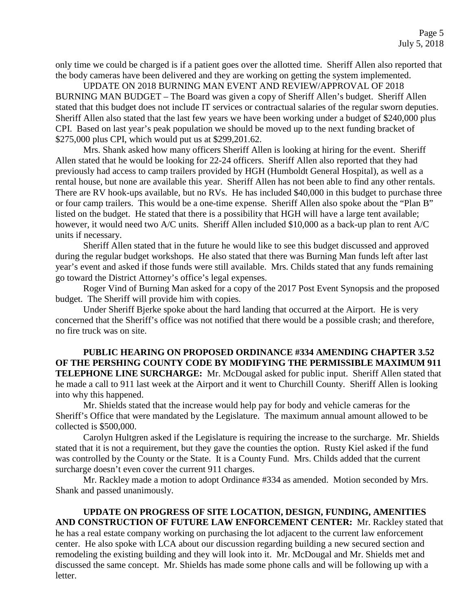only time we could be charged is if a patient goes over the allotted time. Sheriff Allen also reported that the body cameras have been delivered and they are working on getting the system implemented.

UPDATE ON 2018 BURNING MAN EVENT AND REVIEW/APPROVAL OF 2018 BURNING MAN BUDGET – The Board was given a copy of Sheriff Allen's budget. Sheriff Allen stated that this budget does not include IT services or contractual salaries of the regular sworn deputies. Sheriff Allen also stated that the last few years we have been working under a budget of \$240,000 plus CPI. Based on last year's peak population we should be moved up to the next funding bracket of \$275,000 plus CPI, which would put us at \$299,201.62.

Mrs. Shank asked how many officers Sheriff Allen is looking at hiring for the event. Sheriff Allen stated that he would be looking for 22-24 officers. Sheriff Allen also reported that they had previously had access to camp trailers provided by HGH (Humboldt General Hospital), as well as a rental house, but none are available this year. Sheriff Allen has not been able to find any other rentals. There are RV hook-ups available, but no RVs. He has included \$40,000 in this budget to purchase three or four camp trailers. This would be a one-time expense. Sheriff Allen also spoke about the "Plan B" listed on the budget. He stated that there is a possibility that HGH will have a large tent available; however, it would need two A/C units. Sheriff Allen included \$10,000 as a back-up plan to rent A/C units if necessary.

Sheriff Allen stated that in the future he would like to see this budget discussed and approved during the regular budget workshops. He also stated that there was Burning Man funds left after last year's event and asked if those funds were still available. Mrs. Childs stated that any funds remaining go toward the District Attorney's office's legal expenses.

Roger Vind of Burning Man asked for a copy of the 2017 Post Event Synopsis and the proposed budget. The Sheriff will provide him with copies.

Under Sheriff Bjerke spoke about the hard landing that occurred at the Airport. He is very concerned that the Sheriff's office was not notified that there would be a possible crash; and therefore, no fire truck was on site.

**PUBLIC HEARING ON PROPOSED ORDINANCE #334 AMENDING CHAPTER 3.52 OF THE PERSHING COUNTY CODE BY MODIFYING THE PERMISSIBLE MAXIMUM 911 TELEPHONE LINE SURCHARGE:** Mr. McDougal asked for public input. Sheriff Allen stated that he made a call to 911 last week at the Airport and it went to Churchill County. Sheriff Allen is looking into why this happened.

Mr. Shields stated that the increase would help pay for body and vehicle cameras for the Sheriff's Office that were mandated by the Legislature. The maximum annual amount allowed to be collected is \$500,000.

Carolyn Hultgren asked if the Legislature is requiring the increase to the surcharge. Mr. Shields stated that it is not a requirement, but they gave the counties the option. Rusty Kiel asked if the fund was controlled by the County or the State. It is a County Fund. Mrs. Childs added that the current surcharge doesn't even cover the current 911 charges.

Mr. Rackley made a motion to adopt Ordinance #334 as amended. Motion seconded by Mrs. Shank and passed unanimously.

**UPDATE ON PROGRESS OF SITE LOCATION, DESIGN, FUNDING, AMENITIES AND CONSTRUCTION OF FUTURE LAW ENFORCEMENT CENTER:** Mr. Rackley stated that he has a real estate company working on purchasing the lot adjacent to the current law enforcement center. He also spoke with LCA about our discussion regarding building a new secured section and remodeling the existing building and they will look into it. Mr. McDougal and Mr. Shields met and discussed the same concept. Mr. Shields has made some phone calls and will be following up with a letter.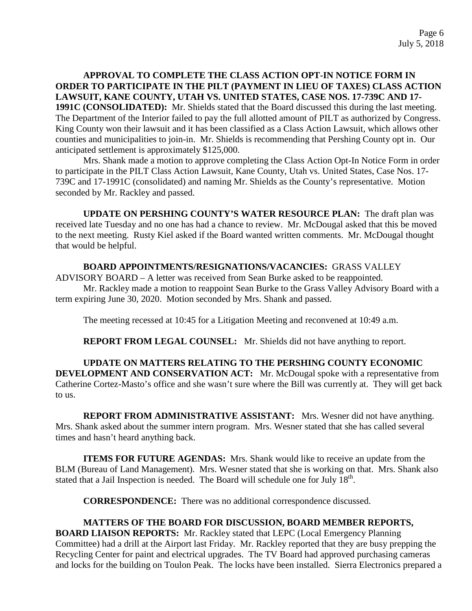# **APPROVAL TO COMPLETE THE CLASS ACTION OPT-IN NOTICE FORM IN ORDER TO PARTICIPATE IN THE PILT (PAYMENT IN LIEU OF TAXES) CLASS ACTION LAWSUIT, KANE COUNTY, UTAH VS. UNITED STATES, CASE NOS. 17-739C AND 17-**

**1991C (CONSOLIDATED):** Mr. Shields stated that the Board discussed this during the last meeting. The Department of the Interior failed to pay the full allotted amount of PILT as authorized by Congress. King County won their lawsuit and it has been classified as a Class Action Lawsuit, which allows other counties and municipalities to join-in. Mr. Shields is recommending that Pershing County opt in. Our anticipated settlement is approximately \$125,000.

Mrs. Shank made a motion to approve completing the Class Action Opt-In Notice Form in order to participate in the PILT Class Action Lawsuit, Kane County, Utah vs. United States, Case Nos. 17- 739C and 17-1991C (consolidated) and naming Mr. Shields as the County's representative. Motion seconded by Mr. Rackley and passed.

**UPDATE ON PERSHING COUNTY'S WATER RESOURCE PLAN:** The draft plan was received late Tuesday and no one has had a chance to review. Mr. McDougal asked that this be moved to the next meeting. Rusty Kiel asked if the Board wanted written comments. Mr. McDougal thought that would be helpful.

### **BOARD APPOINTMENTS/RESIGNATIONS/VACANCIES:** GRASS VALLEY

ADVISORY BOARD – A letter was received from Sean Burke asked to be reappointed.

Mr. Rackley made a motion to reappoint Sean Burke to the Grass Valley Advisory Board with a term expiring June 30, 2020. Motion seconded by Mrs. Shank and passed.

The meeting recessed at 10:45 for a Litigation Meeting and reconvened at 10:49 a.m.

**REPORT FROM LEGAL COUNSEL:** Mr. Shields did not have anything to report.

**UPDATE ON MATTERS RELATING TO THE PERSHING COUNTY ECONOMIC DEVELOPMENT AND CONSERVATION ACT:** Mr. McDougal spoke with a representative from Catherine Cortez-Masto's office and she wasn't sure where the Bill was currently at. They will get back to us.

**REPORT FROM ADMINISTRATIVE ASSISTANT:** Mrs. Wesner did not have anything. Mrs. Shank asked about the summer intern program. Mrs. Wesner stated that she has called several times and hasn't heard anything back.

**ITEMS FOR FUTURE AGENDAS:** Mrs. Shank would like to receive an update from the BLM (Bureau of Land Management). Mrs. Wesner stated that she is working on that. Mrs. Shank also stated that a Jail Inspection is needed. The Board will schedule one for July  $18<sup>th</sup>$ .

**CORRESPONDENCE:** There was no additional correspondence discussed.

# **MATTERS OF THE BOARD FOR DISCUSSION, BOARD MEMBER REPORTS,**

**BOARD LIAISON REPORTS:** Mr. Rackley stated that LEPC (Local Emergency Planning Committee) had a drill at the Airport last Friday. Mr. Rackley reported that they are busy prepping the Recycling Center for paint and electrical upgrades. The TV Board had approved purchasing cameras and locks for the building on Toulon Peak. The locks have been installed. Sierra Electronics prepared a